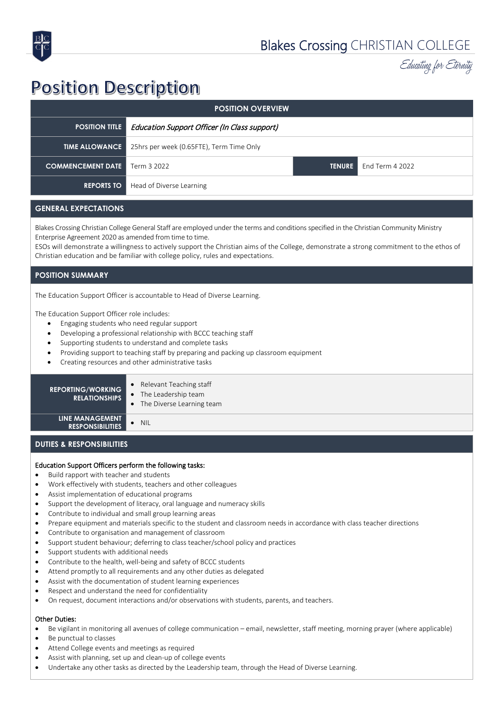

Educating for Eternity

# **Position Description**

| <b>POSITION OVERVIEW</b>             |                                                                |  |                               |  |
|--------------------------------------|----------------------------------------------------------------|--|-------------------------------|--|
| <b>POSITION TITLE</b>                | Education Support Officer (In Class support)                   |  |                               |  |
|                                      | <b>TIME ALLOWANCE</b> 25hrs per week (0.65FTE), Term Time Only |  |                               |  |
| <b>COMMENCEMENT DATE</b> Term 3 2022 |                                                                |  | <b>TENURE</b> End Term 4 2022 |  |
| <b>REPORTS TO</b>                    | Head of Diverse Learning                                       |  |                               |  |

# **GENERAL EXPECTATIONS**

Blakes Crossing Christian College General Staff are employed under the terms and conditions specified in the Christian Community Ministry Enterprise Agreement 2020 as amended from time to time.

ESOs will demonstrate a willingness to actively support the Christian aims of the College, demonstrate a strong commitment to the ethos of Christian education and be familiar with college policy, rules and expectations.

### **POSITION SUMMARY**

The Education Support Officer is accountable to Head of Diverse Learning.

The Education Support Officer role includes:

- Engaging students who need regular support
- Developing a professional relationship with BCCC teaching staff
- Supporting students to understand and complete tasks
- Providing support to teaching staff by preparing and packing up classroom equipment
- Creating resources and other administrative tasks

# **REPORTING/WORKING RELATIONSHIPS**

- Relevant Teaching staff
- The Leadership team
- The Diverse Learning team

**LINE MANAGEMENT RESPONSIBILITIES** • NIL

### **DUTIES & RESPONSIBILITIES**

#### Education Support Officers perform the following tasks:

- Build rapport with teacher and students
- Work effectively with students, teachers and other colleagues
- Assist implementation of educational programs
- Support the development of literacy, oral language and numeracy skills
- Contribute to individual and small group learning areas
- Prepare equipment and materials specific to the student and classroom needs in accordance with class teacher directions
- Contribute to organisation and management of classroom
- Support student behaviour; deferring to class teacher/school policy and practices
- Support students with additional needs
- Contribute to the health, well-being and safety of BCCC students
- Attend promptly to all requirements and any other duties as delegated
- Assist with the documentation of student learning experiences
- Respect and understand the need for confidentiality
- On request, document interactions and/or observations with students, parents, and teachers.

# Other Duties:

- Be vigilant in monitoring all avenues of college communication email, newsletter, staff meeting, morning prayer (where applicable)
- Be punctual to classes
- Attend College events and meetings as required
- Assist with planning, set up and clean-up of college events
- Undertake any other tasks as directed by the Leadership team, through the Head of Diverse Learning.